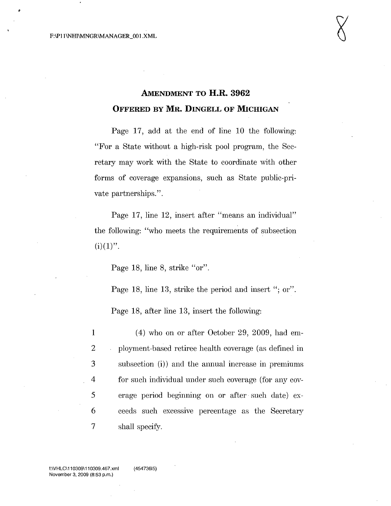# **AMENDMENT TO H.R. 3962 OFFERED BY MR. DINGELL OF MICHIGAN**

Page 17, add at the end of line **10** the following: "For a State without a high-risk pool program, the Secretary may work with the State to coordinate with other forms of coverage expansions, such as State public-private partnerships.".

Page 17, line 12, insert after "means an individual" the following: "who meets the requirements of subsection  $(i)(1)$ ".

Page 18, line 8, strike "or".

Page 18, line 13, strike the period and insert "; or".

Page 18, after line 13, insert the following:

 (4) who on or after October 29, 2009, had em- ployment-based retiree health coverage (as defined in subsection (i)) and the annual increase in premiums for such individual under such coverage (for any cov-5 erage period beginning on or after such date) ex- ceeds such excessive percentage as the Secretary shall specify.

f:\VHLC\110309\110309.467.xml November 3, 2009 (8:53 p.m.)

(45473615)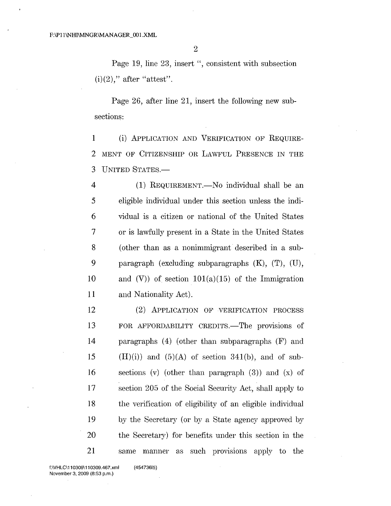Page 19, line 23, insert ", consistent with subsection  $(i)(2)$ ," after "attest".

Page 26, after line 21, insert the following new subsections:

1 (i) APPLICATION AND VERIFICATION OF REQUIRE-2 MENT OF CITIZENSHIP OR LAWFUL PRESENCE IN THE 3 UNITED STATES.-

 (1) REQUIREMENT.—No individual shall be an eligible individual under this section unless the indi- vidual is a citizen or national of the United States or is lawfully present in a State in the United States 8 (other than as a nonimmigrant described in a sub- paragraph (excluding subparagraphs (K), (T), (U), 10 and (V)) of section  $101(a)(15)$  of the Immigration and Nationality Act).

 (2) APPLIcA'rION OF VERIFICATION PROCESS 13 FOR AFFORDABILITY CREDITS.—The provisions of paragraphs (4) (other than subparagraphs (F) and 15 (II)(i)) and (5)(A) of section 341(b), and of sub-16 sections (v) (other than paragraph  $(3)$ ) and  $(x)$  of section 205 of the Social Security Act, shall apply to the verification of eligibility of an eligible individual by the Secretary (or by a State agency approved by the Secretary) for benefits under this section in the same manner as such provisions apply to the

f:\VHLC\110309\110309.467.xml November 3, 2009 (8:53 p.m.)

(45473615)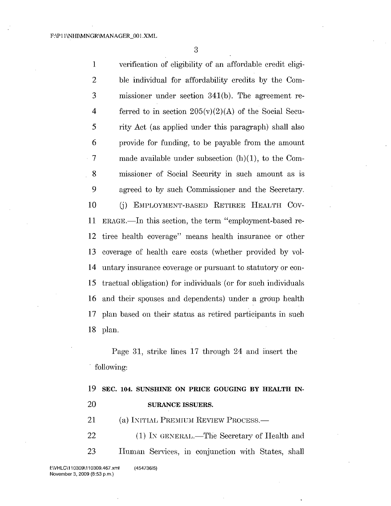verification of eligibility of an affordable credit eligi- ble individual for affordability credits by the Com- missioner under section 341(b). The agreement re-4 ferred to in section  $205(v)(2)(A)$  of the Social Secu-S rity Act (as applied under this paragraph) shall also provide for funding, to be payable from the amount 7 made available under subsection (h)(1), to the Com- missioner of Social Security in such amount as is agreed to by such Commissioner and the Secretary. 10 (j) EMPLOYMENT-BASED RETIREE HEALTH COV-11 ERAGE.—In this section, the term "employment-based re- tiree health coverage" means health insurance or other coverage of health care costs (whether provided by vol- untary insurance coverage or pursuant to statutory or con- tractual obligation) for individuals (or for such individuals and their spouses and dependents) under a group health plan based on their status as retired participants in such 18 plan.

Page 31, strike lines 17 through 24 and insert the following:

|    | 19 SEC. 104. SUNSHINE ON PRICE GOUGING BY HEALTH IN- |
|----|------------------------------------------------------|
| 20 | <b>SURANCE ISSUERS.</b>                              |
| 21 | (a) INITIAL PREMIUM REVIEW PROCESS.—                 |

22 (1) IN GENERAL.—The Secretary of Health and 23 IIuman Services, in conjunction with States, shall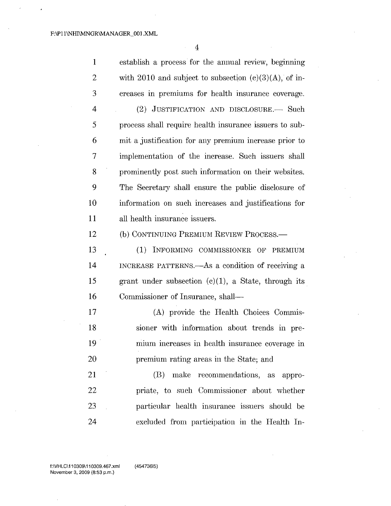establish a process for the annual review, beginning 2 with 2010 and subject to subsection  $(c)(3)(A)$ , of in- creases in premiums for health insurance coverage. 4 (2) JUSTIFICATION AND DISCLOSURE. Such process shall require health insurance issuers to sub- mit a justification for any premium increase prior to implementation of the increase. Such issuers shall prominently post such information on their websites. The Secretary shall ensure the public disclosure of information on such increases and justifications for all health insurance issuers. 12 (b) CONTINUING PREMIUM REVIEW PROCESS.— 13 (1) INFORMING COMMISSIONER OF PREMIUM 14 INCREASE PATTERNS.—As a condition of receiving a

15 grant under subsection  $(c)(1)$ , a State, through its 16 Commissioner of Insurance, shall-

17 (A) provide the Health Choices Commis-18 sioner with information about trends in pre-19 mium increases in health insurance coverage in 20 premium rating areas in the State; and

21 22 23 24 (B) make recommendations, as appropriate, to such Commissioner about whether particular health insurance issuers should be excluded from participation in the Health In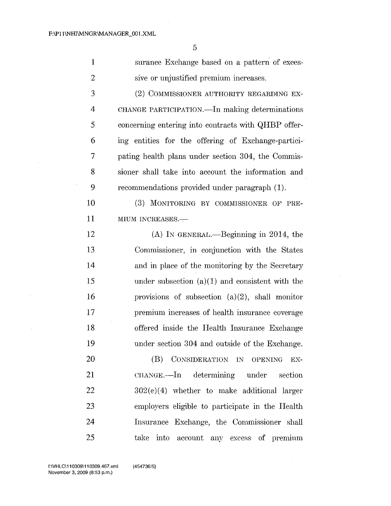5

| 1 | surance Exchange based on a pattern of exces-    |
|---|--------------------------------------------------|
| 2 | sive or unjustified premium increases.           |
| 3 | (2) COMMISSIONER AUTHORITY REGARDING EX-         |
| 4 | CHANGE PARTICIPATION. - In making determinations |
|   |                                                  |

 concerning entering into contracts with QHBP offer- ing entities for the offering of Exchange-partici-· pating health plans under section 304, the Commis-8 sioner shall take into account the information and recommendations provided under paragraph (1).

10 (3) MONITORING BY COMMISSIONER OF PRE-11 MIUM INCREASES.

12 (A) IN GENERAL.—Beginning in 2014, the Commissioner, in conjunction with the States and in place of the monitoring by the Secretary 15 under subsection  $(a)(1)$  and consistent with the provisions of subsection (a)(2), shall monitor premium increases of health insurance coverage offered inside the Health Insurance Exchange under section 304 and outside of the Exchange.

(B) CONSIDERATION IN OPENING EX-CHANGE.—In determining under section 302(e)(4) whether to make additional larger employers eligible to participate in the Health Insurance Exchange, the Commissioner shall take into account any excess of premium

20

21

22

23

24

25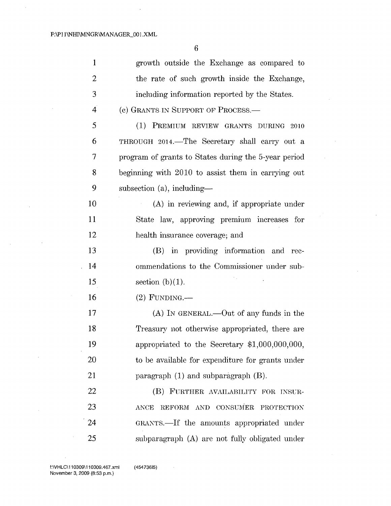$\ddot{\phantom{1}}$ 

 $\bar{\beta}$ 

 $\sim$ 

 $\ddot{\phantom{a}}$ 

 $\mathcal{L}_{\mathcal{A}}$ 

 $\mathcal{L}_{\mathcal{A}}$ 

 $\bar{z}$ 

 $\ddot{\phantom{0}}$ 

 $\bar{z}$ 

 $\mathbb{R}^2$ 

6

 $\hat{\boldsymbol{\beta}}$ 

 $\bar{z}$ 

 $\mathcal{A}$ 

| $\mathbf{1}$   | growth outside the Exchange as compared to           |
|----------------|------------------------------------------------------|
| $\overline{2}$ | the rate of such growth inside the Exchange,         |
| 3              | including information reported by the States.        |
| $\overline{4}$ | (c) GRANTS IN SUPPORT OF PROCESS.—                   |
| 5              | (1) PREMIUM REVIEW GRANTS DURING 2010                |
| 6              | THROUGH 2014.—The Secretary shall carry out a        |
| 7              | program of grants to States during the 5-year period |
| 8              | beginning with 2010 to assist them in carrying out   |
| 9              | subsection $(a)$ , including—                        |
| 10             | (A) in reviewing and, if appropriate under           |
| 11             | State law, approving premium increases for           |
| 12             | health insurance coverage; and                       |
| 13             | (B) in providing information and rec-                |
| 14             | ommendations to the Commissioner under sub-          |
| 15             | section $(b)(1)$ .                                   |
| 16             | $(2)$ FUNDING.—                                      |
| 17             | (A) IN GENERAL.—Out of any funds in the              |
| 18             | Treasury not otherwise appropriated, there are       |
| 19             | appropriated to the Secretary \$1,000,000,000,       |
| 20             | to be available for expenditure for grants under     |
| 21             | paragraph $(1)$ and subparagraph $(B)$ .             |
| 22             | (B) FURTHER AVAILABILITY FOR INSUR-                  |
| 23             | REFORM AND CONSUMER PROTECTION<br><b>ANCE</b>        |
| 24             | GRANTS.—If the amounts appropriated under            |
| 25             | subparagraph (A) are not fully obligated under       |

f:\VHLC\110309\110309.467.xml November 3, 2009 (8:53 p.m.)

 $\bar{\beta}$ 

 $\sim$ 

 $\bar{z}$ 

(45473615) $\mathcal{L}^{\text{max}}_{\text{max}}$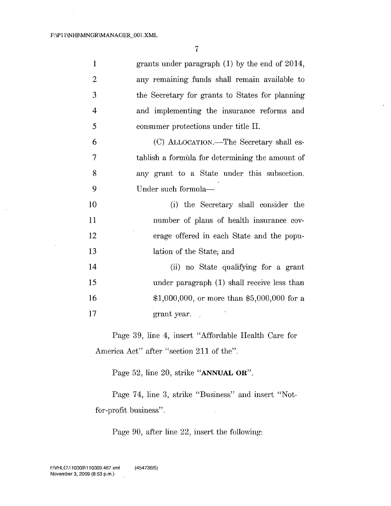7

| $\mathbf{1}$   | grants under paragraph $(1)$ by the end of 2014, |
|----------------|--------------------------------------------------|
| $\overline{2}$ | any remaining funds shall remain available to    |
| 3              | the Secretary for grants to States for planning  |
| $\overline{4}$ | and implementing the insurance reforms and       |
| 5              | consumer protections under title II.             |
| 6              | (C) ALLOCATION.—The Secretary shall es-          |
| 7              | tablish a formula for determining the amount of  |
| 8              | any grant to a State under this subsection.      |
| 9              | Under such formula—                              |
| 10             | (i) the Secretary shall consider the             |
| 11             | number of plans of health insurance cov-         |
| 12             | erage offered in each State and the popu-        |
| 13             | lation of the State; and                         |
| 14             | (ii) no State qualifying for a grant             |
| 15             | under paragraph (1) shall receive less than      |
| 16             | \$1,000,000, or more than \$5,000,000 for a      |
| 17             | grant year.                                      |

Page 39, line 4, insert "Affordable Health Care for America Act" after "section 211 of the".

Page 52, line 20, strike "ANNUAL OR".

Page 74, line 3, strike "Business" and insert "Notfor-profit business".

Page 90, after line 22, insert the following:

 $\bar{\mathcal{A}}$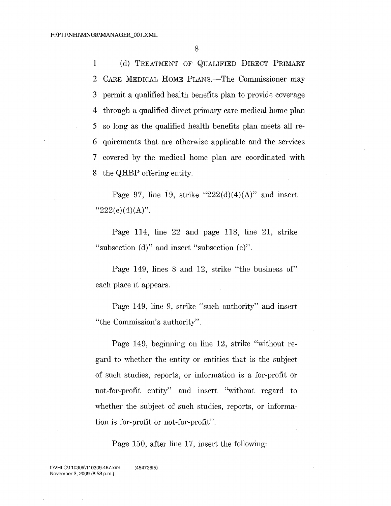(d) TREATMEN'r OF QUALIFIED DIRECT PRIMARY 2 CARE MEDICAL HOME PLANS.—The Commissioner may permit a qualified health benefits plan to provide coverage through a qualified direct primary care medical home plan so long as the qualified health benefits plan meets all re- quirements that are otherwise applicable and the services covered by the medical home plan are coordinated with the QHBP offering entity.

Page 97, line 19, strike " $222(d)(4)(A)$ " and insert " $222(e)(4)(A)$ ".

Page 114, line 22 and page 118, line 21, strike "subsection (d)" and insert "subsection (e)".

Page 149, lines 8 and 12, strike "the business of" each place it appears.

Page 149, line 9, strike "such authority" and insert "the Commission's authority".

Page 149, beginning on line 12, strike "without regard to whether the entity or entities that is the subject of such studies, reports, or information is a for-profit or not-for-profit entity" and insert "without regard to whether the subject of such studies, reports, or information is for-profit or not-for-profit".

Page 150, after line 17, insert the following: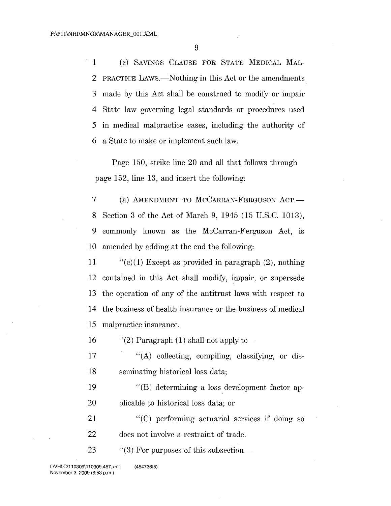(c) SAVINGS CLAUSE FOR STATE MEDICAL MAL-2 PRACTICE LAWS.—Nothing in this Act or the amendments made by this Act shall be construed to modify or impair State law governing legal standards or procedures used in medical malpractice cases, including the authority of 6 a State to make or implement such law.

Page 150, strike line 20 and all that follows through page , line  $13$ , and insert the following:

7 (a) AMENDMENT TO MCCARRAN-FERGUSON ACT. Section 3 of the Act of March 9, 1945 (15 U.S.C. 1013), commonly known as the McCarran-Ferguson Act, is amended by adding at the end the following:

11 "(c)(1) Except as provided in paragraph (2), nothing contained in this Act shall modify, impair, or supersede the operation of any of the antitrust laws with respect to the business of health insurance or the business of medical malpractice insurance.

16 "(2) Paragraph (1) shall not apply to-

 "(A) collecting, compiling, classifying, or dis-seminating historical loss data;

 "(B) determining a loss development factor ap-plicable to historical loss data; or

 "(C) performing actuarial services if doing so does not involve a restraint of trade.

23 "(3) For purposes of this subsection-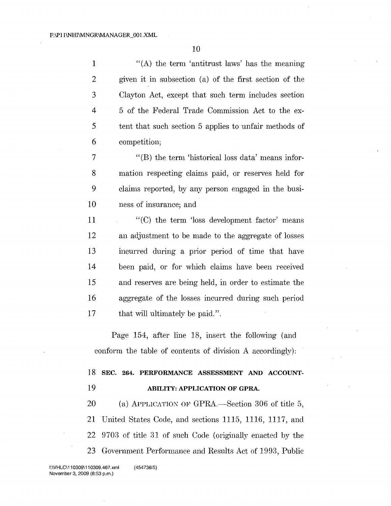1 "(A) the term 'antitrust laws' has the meaning given it in subsection (a) of the first section of the Clayton Act, except that such term includes section 4 5 of the Federal Trade Commission Act to the ex- tent that such section 5 applies to unfair methods of competition;

 "(B) the term 'historical loss data' means infor- mation respecting claims paid, or reserves held for claims reported, by any person engaged in the busi-ness of insurance; and

 "(C) the term 'loss development factor' means an adjustment to be made to the aggregate of losses incurred during a prior period of time that have been paid, or for which claims have been received and reserves are being held, in order to estimate the aggregate of the losses incurred during such period 17 that will ultimately be paid.".

Page 154, after line 18, insert the following (and conform the table of contents of division A accordingly):

# SEC. 264. PERFORMANCE ASSESSMENT AND ACCOUNT-ABILITY: APPLICATION OF GPRA.

20 (a) APPLICATION OF GPRA.—Section 306 of title 5, United States Code, and sections 1115, 1116, 1117, and 9703 of title 31 of such Code (originally enacted by the 23 Government Performance and Results Act of 1993, Public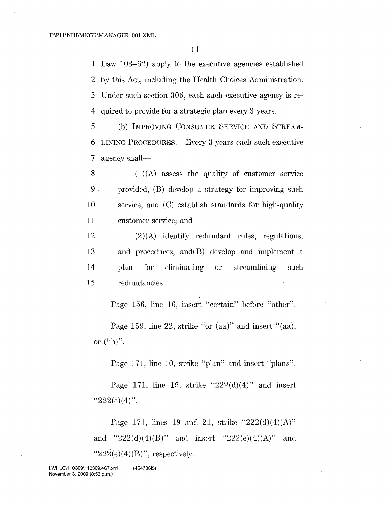Law 103-62) apply to the executive agencies established by this Act, including the Health Choices Administration. Under such section 306, each such executive agency is re-quired to provide for a strategic plan every 3 years.

5 (b) IMPROVING CONSUMER SERVICE AND STREAM-6 LINING PROCEDURES.—Every 3 years each such executive 7 agency shall—

 $(1)(A)$  assess the quality of customer service provided, (B) develop a strategy for improving such service, and (C) establish standards for high-quality customer service; and

 (2)(A) identify redundant rules, regulations, and procedures, and(B) develop and implement a plan for eliminating or streamlining such redundancies.

Page 156, line 16, insert "certain" before "other".

Page 159, line 22, strike "or (aa)" and insert "(aa), or (hh)".

Page 171, line 10, strike "plan" and insert "plans".

Page 171, line 15, strike " $222(d)(4)$ " and insert " $222(e)(4)$ ".

Page 171, lines 19 and 21, strike " $222(d)(4)(A)$ " and "222(d)(4)(B)" and insert "222(e)(4)(A)" and " $222(e)(4)(B)$ ", respectively.

 $\bar{z}$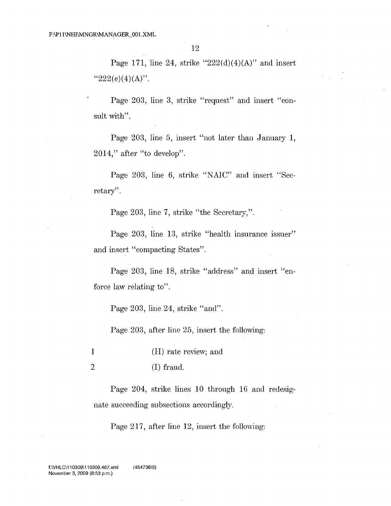Page 171, line 24, strike " $222(d)(4)(A)$ " and insert " $222(e)(4)(A)$ ".

Page 203, line 3, strike "request" and insert "consult with".

Page 203, line 5, insert "not later than January 1, 2014," after "to develop".

Page 203, line 6, strike "NAIC" and insert "Secretary".

Page 203, line 7, strike "the Secretary,".

Page 203, line 13, strike "health insurance issuer" and insert "compacting States".

Page 203, line 18, strike "address" and insert "enforce law relating to".

Page 203, line 24, strike "and".

Page 203, after line 25, insert the following:

1 (H) rate review; and

2 (1) fraud.

Page 204, strike lines 10 through 16 and redesignate succeeding subsections accordingly.

Page  $217$ , after line 12, insert the following: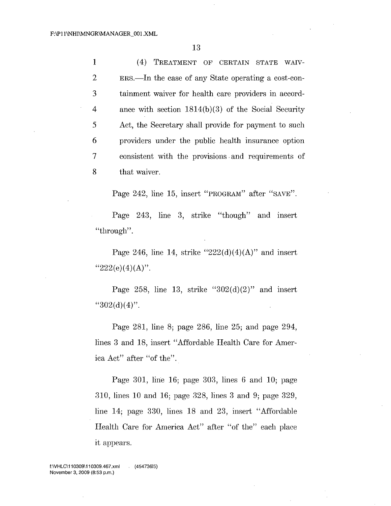1 (4) TREATMENT OF CERTAIN STATE WAIV- ERs.-In the case of any State operating a cost-con- tainment waiver for health care providers in accord- ance with section 1814(b)(3) of the Social Security Act, the Secretary shall provide for payment to such providers under the public health insurance option consistent with the provisions. and requirements of that waiver.

Page 242, line 15, insert "PROGRAM" after "SAVE".

Page 243, line 3, strike "though" and insert "through".

Page 246, line 14, strike " $222(d)(4)(A)$ " and insert " $222(e)(4)(A)$ ".

Page 258, line 13, strike " $302(d)(2)$ " and insert  $"302(d)(4)"$ .

Page 281, line 8; page 286, line 25; and page 294, lines 3 and 18, insert "Affordable Health Care for America Act" after "of the".

Page 301, line  $16$ ; page 303, lines 6 and 10; page 310, lines **10** and 16; page 328, lines 3 and 9; page 329, line 14; page 330, lines 18 and 23, insert "Affordable" Health Care for America Act" after "of the" each place it appears.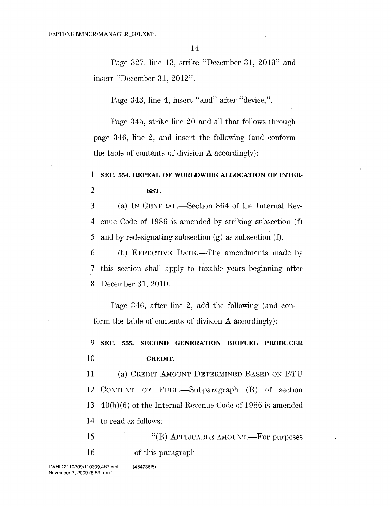Page 327, line 13, strike "December 31, 2010" and insert "December 31, 2012".

Page 343, line 4, insert "and" after "device,".

Page 345, strike line 20 and all that follows through page 346, line 2, and insert the following (and conform the table of contents of division A accordingly):

# 1 SEC. 554. REPEAL OF WORLDWIDE ALLOCATION OF INTER-2 EST.

3 (a) IN GENERAL.—Section 864 of the Internal Rev-4 enue Code of 1986 is amended by striking subsection (f) 5 and by redesignating subsection (g) as subsection (f).

6 (b) EFFECTIVE DATE.—The amendments made by 7 this section shall apply to taxable years beginning after 8 December 31,2010.

Page 346, after line 2, add the following (and conform the table of contents of division A accordingly):

# 9 SEC. 555. SECOND GENERATION BIOFUEL PRODUCER

### 10 CREDIT.

11 (a) CREDIT AMOUNT DETERMINED BASED ON BTU 12 CONTENT OF FUEL.—Subparagraph (B) of section 13  $40(b)(6)$  of the Internal Revenue Code of 1986 is amended 14 to read as follows:

15 16 " $(B)$  Applicable amount.—For purposes of this paragraph—

(45473615)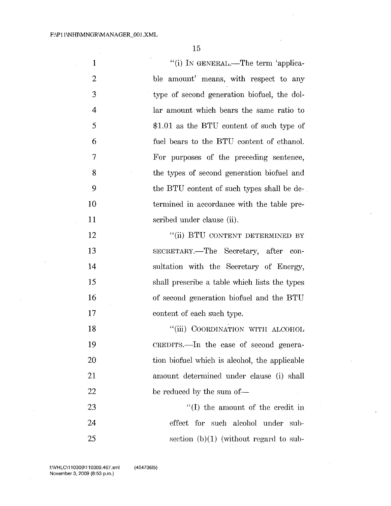$\hat{\mathcal{A}}$ 

15

| $\mathbf{1}$   | "(i) IN GENERAL.—The term 'applica-           |
|----------------|-----------------------------------------------|
| $\overline{2}$ | ble amount' means, with respect to any        |
| 3              | type of second generation biofuel, the dol-   |
| 4              | lar amount which bears the same ratio to      |
| 5              | $$1.01$ as the BTU content of such type of    |
| 6              | fuel bears to the BTU content of ethanol.     |
| 7              | For purposes of the preceding sentence,       |
| 8              | the types of second generation biofuel and    |
| 9              | the BTU content of such types shall be de-    |
| 10             | termined in accordance with the table pre-    |
| 11             | scribed under clause (ii).                    |
| 12             | "(ii) BTU CONTENT DETERMINED BY               |
| 13             | SECRETARY.—The Secretary, after con-          |
| 14             | sultation with the Secretary of Energy,       |
| 15             | shall prescribe a table which lists the types |
| 16             | of second generation biofuel and the BTU      |
| 17             | content of each such type.                    |
| 18             | "(iii) COORDINATION WITH ALCOHOL              |
| 19             | CREDITS.—In the case of second genera-        |
| 20             | tion biofuel which is alcohol, the applicable |
| 21             | amount determined under clause (i) shall      |
| 22             | be reduced by the sum of-                     |
| 23             | "(I) the amount of the credit in              |
| 24             | effect for such alcohol under<br>- sub-       |
| 25             | section $(b)(1)$ (without regard to sub-      |

 $\mathcal{L}$ 

 $\sim$ 

 $\mathcal{A}$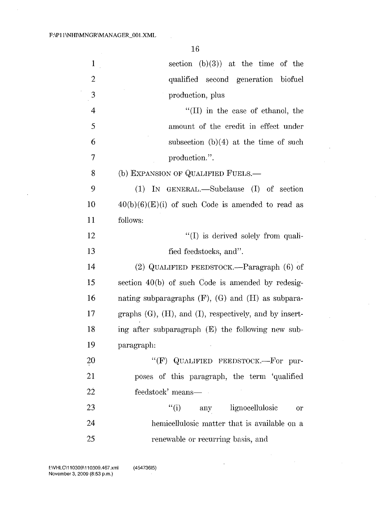$\bar{\mathcal{A}}$ 

 $\ddot{\phantom{0}}$ 

 $\hat{\mathcal{A}}$ 

| $\mathbf{1}$ | section $(b)(3)$ at the time of the                             |
|--------------|-----------------------------------------------------------------|
| 2            | qualified second generation biofuel                             |
| 3            | production, plus                                                |
| 4            | "(II) in the case of ethanol, the                               |
| 5            | amount of the credit in effect under                            |
| 6            | subsection $(b)(4)$ at the time of such                         |
| 7            | production.".                                                   |
| 8            | (b) EXPANSION OF QUALIFIED FUELS.-                              |
| 9            | (1)<br>IN GENERAL.—Subclause (I) of section                     |
| 10           | $40(b)(6)(E)(i)$ of such Code is amended to read as             |
| 11           | follows:                                                        |
| 12           | "(I) is derived solely from quali-                              |
| 13           | fied feedstocks, and".                                          |
| 14           | (2) QUALIFIED FEEDSTOCK.—Paragraph (6) of                       |
| 15           | section $40(b)$ of such Code is amended by redesig-             |
| 16           | nating subparagraphs $(F)$ , $(G)$ and $(H)$ as subpara-        |
| 17           | graphs $(G)$ , $(H)$ , and $(I)$ , respectively, and by insert- |
| 18           | ing after subparagraph (E) the following new sub-               |
| 19           | paragraph:                                                      |
| 20           | "(F) QUALIFIED FEEDSTOCK.-For pur-                              |
| 21           | poses of this paragraph, the term 'qualified                    |
| 22           | feedstock' means—                                               |
| 23           | ``(i)<br>any lignocellulosic<br><sub>or</sub>                   |
| 24           | hemicellulosic matter that is available on a                    |
| 25           | renewable or recurring basis, and                               |

 $\ddot{\phantom{a}}$ 

 $\bar{z}$ 

 $\bar{\lambda}$ 

 $\bar{\nu}$ 

 $\mathcal{L}^{\mathcal{L}}$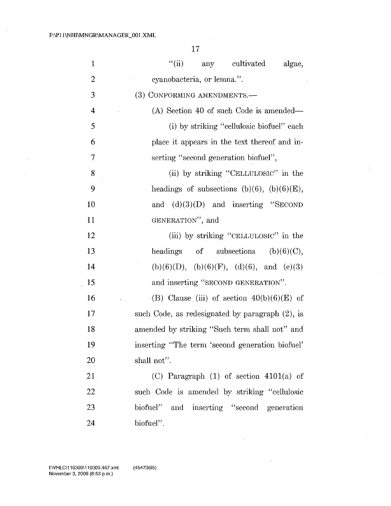$\mathcal{L}_{\mathcal{L}}$ 

 $\bar{\beta}$ 

17

 $\sim$ 

| $\mathbf{1}$   | ``(ii)<br>any<br>cultivated<br>algae,           |
|----------------|-------------------------------------------------|
| $\overline{2}$ | eyanobacteria, or lemna.".                      |
| 3              | (3) CONFORMING AMENDMENTS.-                     |
| 4              | (A) Section 40 of such Code is amended—         |
| 5              | (i) by striking "cellulosic biofuel" each       |
| 6              | place it appears in the text thereof and in-    |
| 7              | serting "second generation biofuel",            |
| 8              | (ii) by striking "CELLULOSIC" in the            |
| 9              | headings of subsections (b)(6), (b)(6)(E),      |
| 10             | and $(d)(3)(D)$ and inserting "SECOND           |
| 11             | GENERATION", and                                |
| 12             | (iii) by striking "CELLULOSIC" in the           |
| 13             | headings of subsections $(b)(6)(C)$ ,           |
| 14             | $(b)(6)(D), (b)(6)(F), (d)(6), and (e)(3)$      |
| 15             | and inserting "SECOND GENERATION".              |
| 16             | (B) Clause (iii) of section $40(b)(6)(E)$ of    |
| 17             | such Code, as redesignated by paragraph (2), is |
| 18             | amended by striking "Such term shall not" and   |
| 19             | inserting "The term 'second generation biofuel' |
| 20             | shall not".                                     |
| 21             | (C) Paragraph $(1)$ of section $4101(a)$ of     |
| 22             | such Code is amended by striking "cellulosic    |
| 23             | biofuel" and inserting "second generation       |
| 24             | biofuel".                                       |

 $\bar{a}$ 

 $\bar{z}$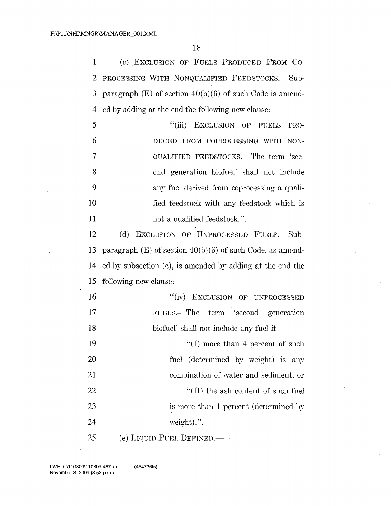18

1 (c) EXCLUSION OF FUELS PRODUCED FROM CO-2 PROCESSING WITH NONQUALIFIED FEEDSTOCKS.-Sub-3 paragraph  $(E)$  of section  $40(b)(6)$  of such Code is amend-4 ed by adding at the end the following new clause:

5 "(iii) EXCLUSION OF FUELS PRO-6 DUCED FROM COPROCESSING WITH NON-7 QUALIFIED FEEDSTOCKS.—The term 'sec-8 . ond generation biofuel' shall not include 9 any fuel derived from coprocessing a quali-10 fied feedstock with any feedstock which is 11 not a qualified feedstock.".

12 (d) EXCLUSION OF UNPROCESSED FUELS. Sub-13 paragraph  $(E)$  of section  $40(b)(6)$  of such Code, as amend-14 ed by subsection (c), is amended by adding at the end the 15 following new clause:

16 17 "(iv) EXCLUSION OF UNPROCESSED FUELS.-The term 'second generation 18 biofuel' shall not include any fuel if— 19 "(I) more than 4 percent of such 20 fuel (determined by weight) is any 21 combination of water and sediment, or 22 "(II) the ash content of such fuel 23 is more than 1 percent (determined by 24 weight).".

 $25$  (e) LIQUID FUEL DEFINED.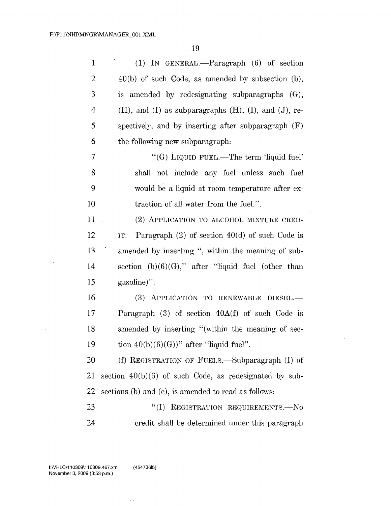$\mathcal{L}^{\text{max}}_{\text{max}}$  and  $\mathcal{L}^{\text{max}}_{\text{max}}$ 

 $\bar{\mathcal{A}}$ 

 $\sim 10^{-1}$ 

 $\mathcal{A}^{\mathcal{A}}$ 

 $\mathcal{L}_{\mathcal{A}}$ 

 $\hat{\mathcal{A}}$ 

 $\sim$ 

| $\mathbf{1}$   | (1) IN GENERAL.—Paragraph $(6)$ of section                         |
|----------------|--------------------------------------------------------------------|
| $\overline{2}$ | $40(b)$ of such Code, as amended by subsection (b),                |
| $\cdot$ 3      | is amended by redesignating subparagraphs (G),                     |
| 4              | $(H)$ , and $(I)$ as subparagraphs $(H)$ , $(I)$ , and $(J)$ , re- |
| 5              | spectively, and by inserting after subparagraph $(F)$              |
| 6              | the following new subparagraph.                                    |
| 7              | "(G) LIQUID FUEL.—The term 'liquid fuel'                           |
| 8              | shall not include any fuel unless such fuel                        |
| 9              | would be a liquid at room temperature after ex-                    |
| 10             | traction of all water from the fuel.".                             |
| 11             | (2) APPLICATION TO ALCOHOL MIXTURE CRED-                           |
| 12             | IT.—Paragraph $(2)$ of section $40(d)$ of such Code is             |
| 13             | amended by inserting ", within the meaning of sub-                 |
| 14             | section $(b)(6)(G)$ ," after "liquid fuel (other than              |
| 15             | gasoline)".                                                        |
| $\cdot 16$     | (3) APPLICATION TO RENEWABLE<br>DIESEL-                            |
| 17             | Paragraph (3) of section 40A(f) of such Code is                    |
| 18             | amended by inserting "(within the meaning of sec-                  |
| 19             | tion $40(b)(6)(G)$ " after "liquid fuel".                          |
| 20             | (f) REGISTRATION OF FUELS.—Subparagraph (I) of                     |
| 21             | section $40(b)(6)$ of such Code, as redesignated by sub-           |
| 22             | sections (b) and (e), is amended to read as follows:               |
| 23             | REGISTRATION REQUIREMENTS.-No<br>``(I)                             |
| 24             | credit shall be determined under this paragraph                    |

 $\sim$ 

(45473615)

 $\hat{\beta}$  ,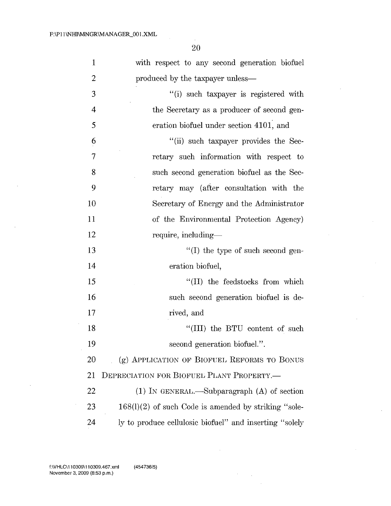$\mathcal{L}_{\mathcal{A}}$ 20

| $\mathbf{1}$   | with respect to any second generation biofuel           |
|----------------|---------------------------------------------------------|
| 2              | produced by the taxpayer unless-                        |
| 3              | "(i) such taxpayer is registered with                   |
| 4              | the Secretary as a producer of second gen-              |
| 5              | eration biofuel under section 4101, and                 |
| $\overline{6}$ | "(ii) such taxpayer provides the Sec-                   |
| $\overline{7}$ | retary such information with respect to                 |
| 8              | such second generation biofuel as the Sec-              |
| 9              | retary may (after consultation with the                 |
| 10             | Secretary of Energy and the Administrator               |
| 11             | of the Environmental Protection Agency)                 |
| 12             | require, including-                                     |
| 13             | $\lq$ (I) the type of such second gen-                  |
| 14             | eration biofuel,                                        |
| 15             | "(II) the feedstocks from which                         |
| 16             | such second generation biofuel is de-                   |
| 17             | rived, and                                              |
| 18             | "(III) the BTU content of such                          |
| 19             | second generation biofuel.".                            |
| 20             | (g) APPLICATION OF BIOFUEL REFORMS TO BONUS             |
| 21             | DEPRECIATION FOR BIOFUEL PLANT PROPERTY.                |
| 22             | $(1)$ IN GENERAL.—Subparagraph $(A)$ of section         |
| 23             | $168(1)(2)$ of such Code is amended by striking "sole-  |
| 24             | ly to produce cellulosic biofuel" and inserting "solely |

 $\mathcal{A}^{\text{max}}_{\text{max}}$ 

 $\sim$ 

 $\bar{\bar{z}}$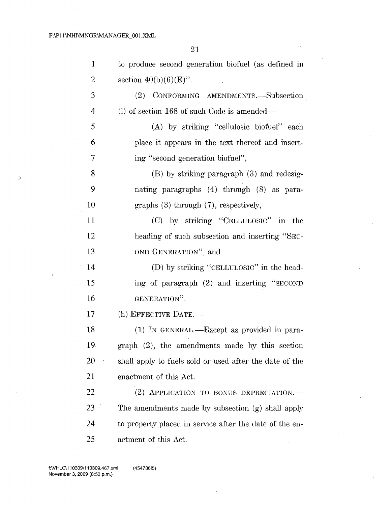>

 $\mathcal{L}$ 

 $\ddot{\phantom{a}}$ 

 $\overline{\mathbb{C}}$ 

21

J.

| $\mathbf{1}$   | to produce second generation biofuel (as defined in     |
|----------------|---------------------------------------------------------|
| $\overline{2}$ | section $40(b)(6)(E)$ ".                                |
| 3              | CONFORMING AMENDMENTS.-Subsection<br>(2)                |
| $\overline{4}$ | (l) of section 168 of such Code is amended—             |
| 5              | (A) by striking "cellulosic biofuel" each               |
| 6              | place it appears in the text thereof and insert-        |
| 7              | ing "second generation biofuel",                        |
| 8              | (B) by striking paragraph (3) and redesig-              |
| 9              | nating paragraphs (4) through (8) as para-              |
| 10             | graphs $(3)$ through $(7)$ , respectively,              |
| 11             | (C) by striking "CELLULOSIC" in the                     |
| 12             | heading of such subsection and inserting "SEC-          |
| 13             | OND GENERATION", and                                    |
| 14             | (D) by striking "CELLULOSIC" in the head-               |
| 15             | ing of paragraph (2) and inserting "SECOND              |
| 16             | GENERATION".                                            |
| 17             | (h) EFFECTIVE DATE.-                                    |
| 18             | $(1)$ IN GENERAL.—Except as provided in para-           |
| 19             | graph (2), the amendments made by this section          |
| <b>20</b>      | shall apply to fuels sold or used after the date of the |
| 21             | enactment of this Act.                                  |
| 22             | (2) APPLICATION TO BONUS DEPRECIATION.                  |
| 23             | The amendments made by subsection (g) shall apply       |
| 24             | to property placed in service after the date of the en- |
| 25             | actment of this Act.                                    |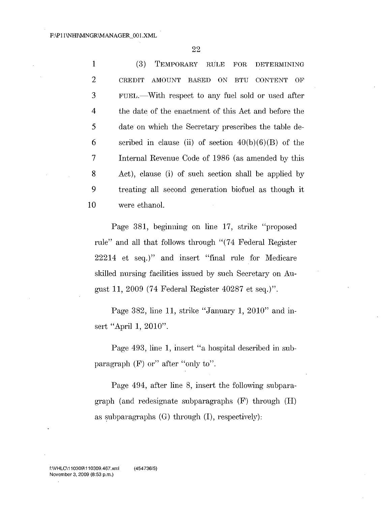(3) TEMPORARY RULE FOR DETERMINING 2 CREDIT AMOUNT BASED ON BTU CONTENT OF FUEL.-With respect to any fuel sold or used after the date of the enactment of this Act and before the date on which the Secretary prescribes the table de-6 scribed in clause (ii) of section  $40(b)(6)(B)$  of the Internal Revenue Code of 1986 (as amended by this Act), clause (i) of such section shall be applied by treating all second generation biofuel as though it were ethanol.

Page 381, beginning on line 17, strike "proposed rule" and all that follows through "(74 Federal Register 22214 et seq.)" and insert "final rule for Medicare skilled nursing facilities issued by such Secretary on August 11, 2009 (74 Federal Register 40287 et seq.)".

Page 382, line 11, strike "January 1, 2010" and insert "April 1, 2010".

Page 493, line 1, insert "a hospital described in subparagraph  $(F)$  or" after "only to".

Page 494, after line 8, insert the following subparagraph (and redesignate subparagraphs  $(F)$  through  $(H)$ as subparagraphs  $(G)$  through  $(I)$ , respectively):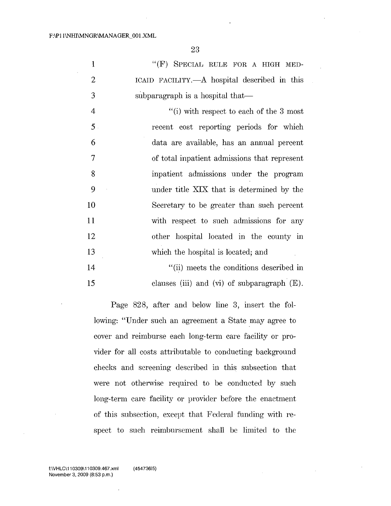|                | " $(F)$ SPECIAL RULE FOR A HIGH MED-         |
|----------------|----------------------------------------------|
| $\overline{2}$ | ICAID FACILITY.—A hospital described in this |
| 3              | subparagraph is a hospital that—             |
| 4              | "(i) with respect to each of the 3 most      |

| 5 <sub>1</sub> | recent cost reporting periods for which      |
|----------------|----------------------------------------------|
| 6              | data are available, has an annual percent    |
| $\overline{7}$ | of total inpatient admissions that represent |
| 8              | inpatient admissions under the program       |
| 9              | under title XIX that is determined by the    |
| 10             | Secretary to be greater than such percent    |
| 11             | with respect to such admissions for any      |
| 12             | other hospital located in the county in      |
| 13             | which the hospital is located; and           |
| 14             | "(ii) meets the conditions described in      |

15 clauses (iii) and (vi) of subparagraph  $(E)$ .

Page 828, after and below line 3, insert the following: "Under such an agreement a State may agree to cover and reimburse each long-term care facility or provider for all costs attributable to conducting background checks and screening described in this subsection that were not otherwise required to be conducted by such long-term care facility or provider before the enactment of this subsection, except that Federal funding with respect to such reimbursement shall be limited to the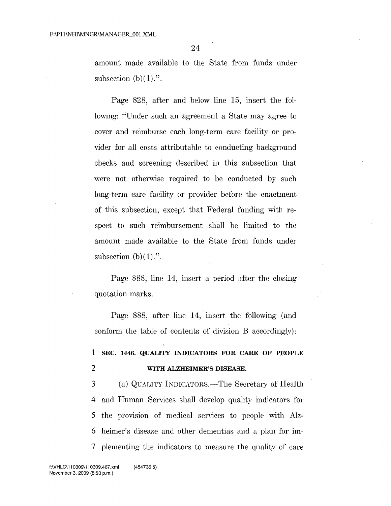amount made available to the State from funds under subsection  $(b)(1)$ .".

Page 828, after and below line 15, insert the following: "Under such an agreement a State may agree to cover and reimburse each long-term care facility or provider for all costs attributable to conducting background checks and screening described in this subsection that were not otherwise required to be conducted by such long-term care facility or provider before the enactment of this subsection, except that Federal funding with respect to such reimbursement shall be limited to the amount made available to the State from funds under subsection  $(b)(1)$ .".

Page 888, line 14, insert a period after the closing quotation marks.

Page 888, after line 14, insert the following (and conform the table of contents of division B accordingly):

# **1 SEC. 1446. QUALITY INDICATORS FOR CARE OF PEOPLE** 2 **WITH ALZHEIMER'S DISEASE.**

3 (a) QUALITY INDICATORS.—The Secretary of Health 4 and Human Services shall develop quality indicators for 5 the provision of medical services to people with Alz-6 heimer's disease and other dementias and a plan for im-7 plementing the indicators to measure the quality of care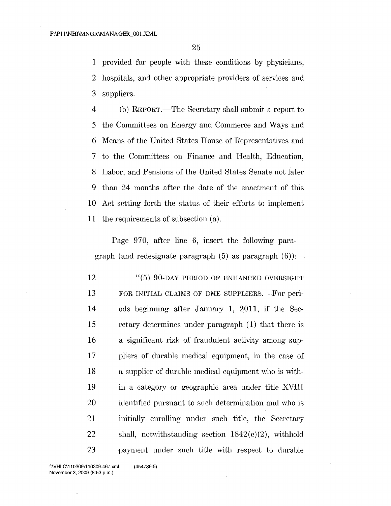1 provided for people with these conditions by physicians, 2 hospitals, and other appropriate providers of services and 3 suppliers.

 (b) REPORT.-The Secretary shall submit a report to the Committees on Energy and Commerce and Ways and Means of the United States House of Representatives and to the Cornmittees on Finance and Health, Education, Labor, and Pensions of the United States Senate not later than 24 months after the date of the enactment of this Act setting forth the status of their efforts to implement the requirements of subsection (a).

Page 970, after line 6, insert the following paragraph (and redesignate paragraph  $(5)$  as paragraph  $(6)$ ):

12 "(5) 90-DAY PERIOD OF ENHANCED OVERSIGHT 13 FOR INITIAL CLAIMS OF DME SUPPLIERS.—For peri-14 ods beginning after January 1, 2011, if the Sec-15 retary determines under paragraph (1) that there is 16 a significant risk of fraudulent activity among sup-17 pliers of durable medical equipment, in the case of 18 a supplier of durable medical equipment who is with-19 in a category or geographic area under title XVIII 20 identified pursuant to such determination and who is 21 initially enrolling under such title, the Secretary 22 shall, notwithstanding section  $1842(e)(2)$ , withhold 23 payment under such title with respect to durable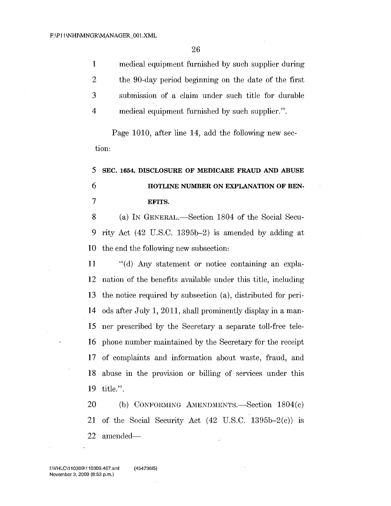medical equipment furnished by such supplier during the 90-day period beginning on the date of the first submission of a claim under such title for durable medical equipment furnished by such supplier.".

Page 1010, after line 14, add the following new section:

# SEC. 1654. DISCLOSURE OF MEDICARE FRAUD AND ABUSE HOTLINE NUMBER ON EXPLANATION OF BEN-EFITS.

8 (a) IN GENERAL.—Section 1804 of the Social Secu- rity Act (42 U.S.C. 1395b-2) is amended by adding at the end the following new subsection:

 "(d) Any statement or notice containing an expla- nation of the benefits available under this title, including the notice required by subsection (a), distributed for peri- ods after July 1, 2011, shall prominently display in a man- ner prescribed by the Secretary a separate toll-free tele- phone number maintained by the Secretary for the receipt of complaints and information about waste, fraud, and abuse in the provision or billing of services under this title.".

20 (b) CONFORMING AMENDMENTS.-Section  $1804(c)$  of the Social Security Act (42 U.S.C. 1395b-2(c)) is 22 amended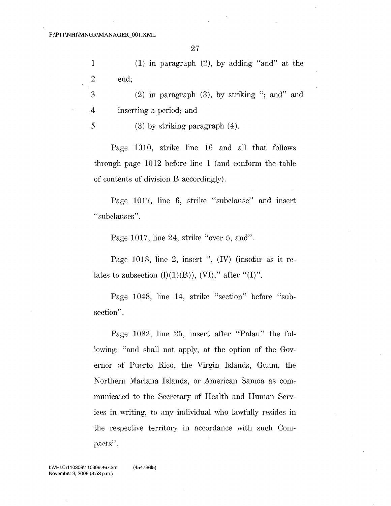1 2 end: (1) in paragraph  $(2)$ , by adding "and" at the

3  $(2)$  in paragraph  $(3)$ , by striking "; and" and 4 inserting a period; and

5 (3) by striking paragraph (4).

Page 1010, strike line 16 and all that follows through page 1012 before line 1 (and conform the table of contents of division B accordingly).

Page 1017, line 6, strike "subclause" and insert "subclauses".

Page 1017, line 24, strike "over 5, and".

Page 1018, line 2, insert ", (IV) (insofar as it relates to subsection  $(l)(1)(B)$ ),  $(VI)$ ," after " $(I)$ ".

Page 1048, line 14, strike "section" before "subsection".

Page 1082, line 25, insert after "Palau" the following: "and shall not apply, at the option of the Governor of Puerto Rico, the Virgin Islands, Guam, the Northern Mariana Islands, or American Samoa as com: municatecl to the Secretary of Health and Human Services in writing, to any individual who lawfully resides in the respective territory in accordance with such Compacts".

f:\VHLC\110309\110309.467.xml November 3, 2009 (8:53 p.m.)

(45473615)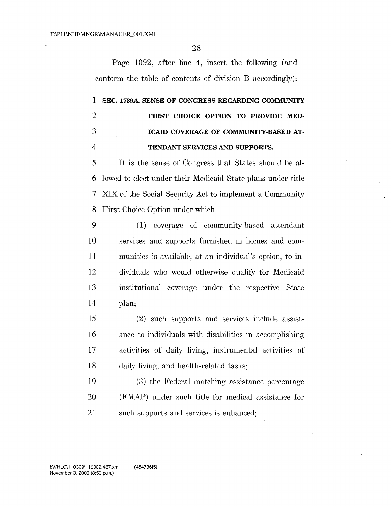Page 1092, after line 4, insert the following (and conform the table of contents of division B accordingly):

# SEC. 1739A SENSE OF CONGRESS REGARDING COMMUNITY FIRST CHOICE OPTION TO PROVIDE MED- ICAID COVERAGE OF COMMUNITY-BASED AT-TENDANT SERVICES AND SUPPORTS.

 It is the sense of Congress that States should be al- lowed to elect under their Medicaid State plans under title XIX of the Social Security Act to implement a Community 8 First Choice Option under which-

 (1) coverage of community-based attendant services and supports furnished in homes and com- munities is available, at an individual's option, to in- dividuals who would otherwise qualify for Medicaid institutional coverage under the respective State plan;

 (2) such supports and services include assist-16 ance to individuals with disabilities in accomplishing activities of daily living, instrumental activities of daily living, and health-related tasks;

 (3) the Federal matching assistance percentage (FMAP) under such title for medical assistance for 21 such supports and services is enhanced;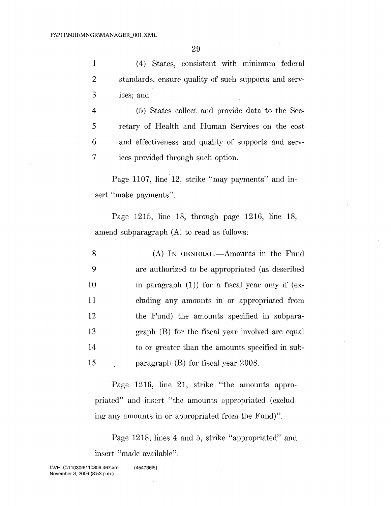1 (4) States, consistent with minimum federal 2 standards, ensure quality of such supports and serv-3 ices; and

 (5) States collect and provide data to the Sec- retary of Health and Human Services on the cost and effectiveness and quality of supports and serv-ices provided through such option.

Page 1107, line 12, strike "may payments" and insert "make payments".

Page 1215, line 18, through page 1216, line 18, amend subparagraph (A) to read as follows:

| 8  | (A) IN GENERAL.—Amounts in the Fund                   |
|----|-------------------------------------------------------|
| 9  | are authorized to be appropriated (as described       |
| 10 | in paragraph $(1)$ ) for a fiscal year only if $(ex-$ |
| 11 | cluding any amounts in or appropriated from           |
| 12 | the Fund) the amounts specified in subpara-           |
| 13 | graph (B) for the fiscal year involved are equal      |
| 14 | to or greater than the amounts specified in sub-      |
| 15 | paragraph $(B)$ for fiscal year 2008.                 |

Page 1216, line 21, strike "the amounts appropriated" and insert "the amounts appropriated (excluding any amounts in or appropriated from the Fund)".

Page 1218, lines 4 and 5, strike "appropriated" and insert "made available".

f:\VHLC\11 0309\11 0309.467.xml November 3,2009 (8:53 p.m.) (45473615)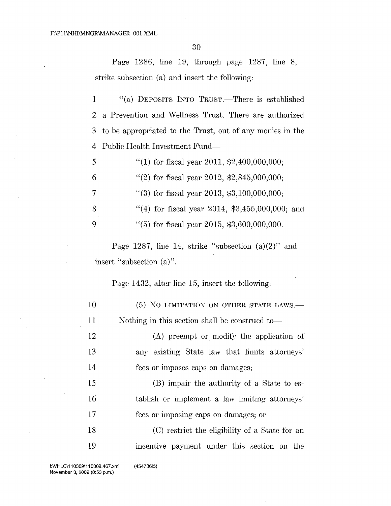Page 1286, line 19, through page 1287, line 8, strike subsection (a) and insert the following:

1 "(a) DEPOSITS INTO TRUST.—There is established 2 a Prevention and Wellness Trust. There are authorized 3 to be appropriated to the Trust, out of any monies in the 4 Public Health Investment Fund-

|    | "(1) for fiscal year 2011, \$2,400,000,000;       |
|----|---------------------------------------------------|
| 6  | "(2) for fiscal year 2012, $$2,845,000,000;$      |
| 7  | "(3) for fiscal year 2013, $$3,100,000,000;$      |
| -8 | "(4) for fiscal year 2014, $$3,455,000,000$ ; and |
| -9 | $\lq(5)$ for fiscal year 2015, \$3,600,000,000.   |

Page 1287, line 14, strike "subsection  $(a)(2)$ " and insert "subsection (a)".

Page 1432, after line 15, insert the following:

| 10 | (5) NO LIMITATION ON OTHER STATE LAWS.—        |
|----|------------------------------------------------|
| 11 | Nothing in this section shall be construed to  |
| 12 | (A) preempt or modify the application of       |
| 13 | any existing State law that limits attorneys'  |
| 14 | fees or imposes caps on damages;               |
| 15 | (B) impair the authority of a State to es-     |
| 16 | tablish or implement a law limiting attorneys' |
| 17 | fees or imposing caps on damages; or           |
| 18 | (C) restrict the eligibility of a State for an |
| 19 | incentive payment under this section on the    |

(45473615)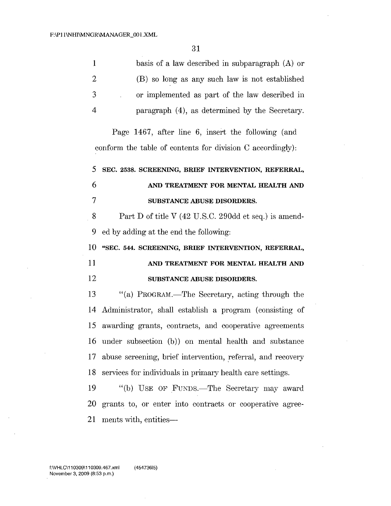| $\mathbf{1}$ | basis of a law described in subparagraph (A) or                                                                  |
|--------------|------------------------------------------------------------------------------------------------------------------|
| 2            | (B) so long as any such law is not established                                                                   |
| 3            | or implemented as part of the law described in                                                                   |
| 4            | paragraph (4), as determined by the Secretary.                                                                   |
|              | Page 1467, after line 6, insert the following (and<br>conform the table of contents for division C accordingly): |
| 5            | SEC. 2538. SCREENING, BRIEF INTERVENTION, REFERRAL,                                                              |
| 6            | AND TREATMENT FOR MENTAL HEALTH AND                                                                              |
| 7            | SUBSTANCE ABUSE DISORDERS.                                                                                       |
| 8            | Part D of title V (42 U.S.C. 290dd et seq.) is amend-                                                            |
| $\mathbf{a}$ |                                                                                                                  |

9 ed by adding at the end the following:

10 "SEC. 544. SCREENING, BRIEF INTERVENTION, REFERRAL, 11 AND TREATMENT FOR MENTAL HEALTH AND

### 12 SUBSTANCE ABUSE DISORDERS.

13 "(a) PROGRAM.—The Secretary, acting through the Administrator, shall establish a program (consisting of awarding grants, contracts, and cooperative agreements under subsection (b)) on mental health and substance 17 abuse screening, brief intervention, referral, and recovery services for individuals in primary health care settings.

19 "(b) USE OF FUNDS.—The Secretary may award 20 gTants to, or enter into contracts or cooperative agree-21 ments with, entities---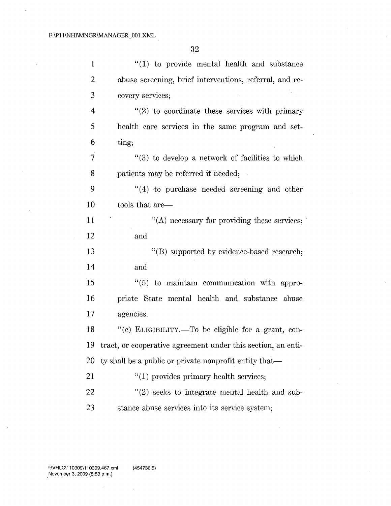$\ddot{\phantom{a}}$ 

 $\bar{.}$ 

 $\ddot{\phantom{1}}$ 

 $\sim$ 

 $\mathcal{L}$ 

 $\ddot{\phantom{a}}$ 

| $\mathbf{1}$   | $\lq(1)$ to provide mental health and substance                 |
|----------------|-----------------------------------------------------------------|
| $\overline{2}$ | abuse screening, brief interventions, referral, and re-         |
| 3              | covery services;                                                |
| 4              | $\lq(2)$ to coordinate these services with primary              |
| 5              | health care services in the same program and set-               |
| 6              | ting;                                                           |
| $\overline{7}$ | "(3) to develop a network of facilities to which                |
| 8              | patients may be referred if needed;                             |
| 9              | "(4) to purchase needed screening and other                     |
| 10             | tools that are—                                                 |
| 11             | $\lq\lq$ necessary for providing these services;                |
| 12             | and                                                             |
| 13             | "(B) supported by evidence-based research;                      |
| 14             | and                                                             |
| 15             | "(5) to maintain communication with appro-                      |
| 16             | priate State mental health and substance abuse                  |
| 17             | agencies.                                                       |
| 18             | "(c) ELIGIBILITY.-To be eligible for a grant, con-              |
|                | 19 tract, or cooperative agreement under this section, an enti- |
| 20             | ty shall be a public or private nonprofit entity that—          |
| 21             | $"(1)$ provides primary health services;                        |
| 22             | $"(2)$ seeks to integrate mental health and sub-                |
| 23             | stance abuse services into its service system;                  |
|                |                                                                 |

J.

fWHLC\11 0309\11 0309.467.xml November 3, 2009 (8:53 p.m.) (45473615)

 $\sim$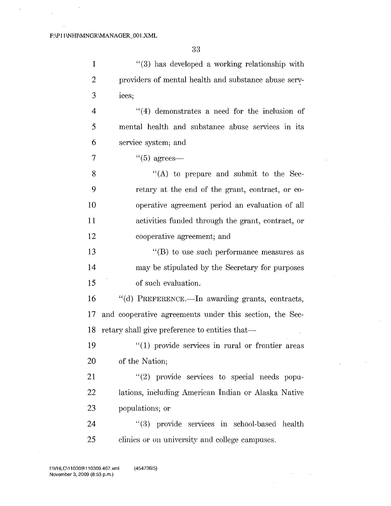1 2 3 4 5 6 7 "(3) has developed a working relationship with providers of mental health and substance abuse services; "(4) demonstrates a need for the inclusion of mental health and substance abuse services in its service system; and  $(6)$  agrees—

8 9 10 11 12 "(A) to prepare and submit to the Secretary at the end of the grant, contract, or cooperative agreement period an evaluation of all activities funded through the grant, contract, or cooperative agreement; and

13 14 15 "(B) to use such performance measures as may be stipulated by the Secretary for purposes of such evaluation.

16 17 and cooperative agreements under this section, the Sec- $"$ (d) PREFERENCE.—In awarding grants, contracts, 18 retary shall give preference to entities that—

19 "(1) provide services in rural or frontier areas 20 of the Nation;

 $21$  "(2) provide services to special needs popu-22 lations, including American Indian or Alaska Native 23 populations; or

24 "(3) provide services in school-based health 25 clinics or on university and college campuses.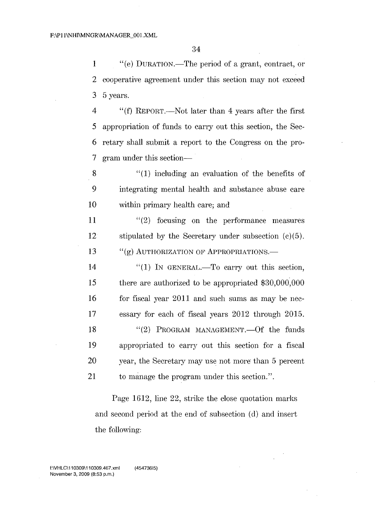1 "(e) DURATION.—The period of a grant, contract, or 2 cooperative agreement under this section may not exceed 3 5 years.

 "(f) REPORT.-Not later than 4 years after the first appropriation of funds to carry out this section, the Sec- retary shall submit a report to the Congress on the pro-7 gram under this section-

 $8$  "(1) including an evaluation of the benefits of 9 integrating mental health and substance abuse care 10 within primary health care; and

**11** "(2) focusing on the performance measures 12 stipulated by the Secretary under subsection (c)(5). 13 "(g) AUTHORIZATION OF APPROPRIATIONS.—

 $\text{``(1)}$  IN GENERAL.—To carry out this section, there are authorized to be appropriated \$30,000,000 16 for fiscal year 2011 and such sums as may be nec- essary for each of fiscal years 2012 through 2015. 18 "(2) PROGRAM MANAGEMENT. - Of the funds appropriated to carry out this section for a fiscal 20 year, the Secretary may use not more than 5 percent to manage the program under this section.".

Page 1612, line 22, strike the close quotation marks and second period at the end of subsection (d) and insert the following: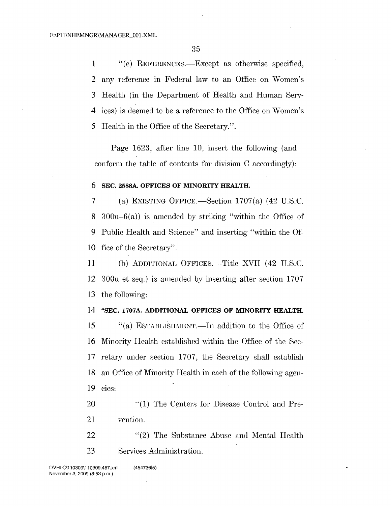1 "(e) REFERENCES.—Except as otherwise specified, any reference in Federal law to an Office on Women's Health (in the Department of Health and Human Serv- ices) is deemed to be a reference to the Office on Women's Health in the Office of the Secretary.".

Page 1623, after line 10, insert the following (and conform the table of contents for division C accordingly):

#### 6 SEC. 2588A. OFFICES OF MINORITY HEALTH.

7 (a) EXISTING OFFICE.—Section  $1707(a)$  (42 U.S.C. 8 300 $u-6(a)$  is amended by striking "within the Office of 9 Public Health and Science" and inserting "within the Of-10 fice of the Secretary".

11 (b) ADDITIONAL OFFICES.—Title XVII (42 U.S.C. 12 300u et seq.) is amended by inserting after section 1707 13 the following:

### 14 "SEC. 1707A. ADDITIONAL OFFICES OF MINORITY HEALTH.

15 "(a) ESTABLISHMENT.—In addition to the Office of 16 Minority Health established within the Office of the Sec-17 retary under section 1707, the Secretary shall establish 18 an Office of Minority Health in each of the following agen-19 cies:

- 20 "(1) The Centers for Disease Control and Pre-21 vention.
- 22 "(2) The Substance Abuse and Mental Health 23 Services Administration.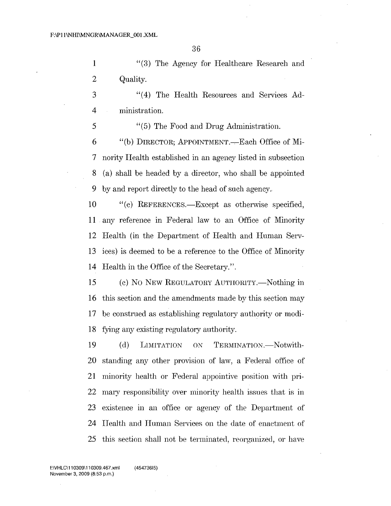"(3) The Agency for Healthcare Research and Quality.

 "(4) The Health Resources and Services Ad-ministration.

 "(5) The Food and Drug Administration. 6 "(b) DIRECTOR; APPOINTMENT.—Each Office of Mi-nority Health established in an agency listed in subsection

 (a) shall be headed by a director, who shall be appointed by and report directly to the head of such agency.,

10 "(c) REFERENCES.—Except as otherwise specified, any reference in Federal law to an Office of Minority Health (in the Department of Health and Human Serv- ices) is deemed to be a reference to the Office of Minority Health in the Office of the Secretary.".

15 (c) No NEW REGULATORY AUTHORITY.—Nothing in this section and the amendments made by this section may be construed as establishing regulatory authority or modi-fying any existing regulatory authority.

19 (d) LIMITATION ON TERMINATION.-Notwith- standing any other provision of law, a Federal office of 21 minority health or Federal appointive position with pri- mary responsibility over minority health issues that is in existence in an office or agency of the Department of Health and Human Services on the date of enactment of this section shall not be terminated, reorganized, or have

f:\VHLC\11 0309\11 0309.467.xml November 3, 2009 (8:53 p.m.)

(45473615)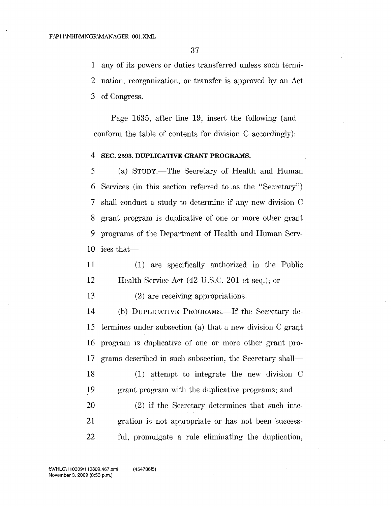1 any of its powers or duties transferred unless such termi-

2 nation, reorganization, or transfer is approved by an Act

3 of Congress.

Page 1635, after line 19, insert the following (and conform the table of contents for division C accordingly):

#### 4 SEC. 2593. DUPLICATIVE GRANT PROGRAMS.

 (a) STUDY.-The Secretary of Health and Human Services (in this section referred to .as the "Secretary") shall conduct a study to determine if any new division C grant program is duplicative of one or more other grant programs of the Department of Health and Human Serv-10 ices that-

11 (1) are specifically authorized in the Public 12 Health Service Act (42 U.S.C. 201 et seq.); or

13 (2) are receiving appropriations.

14 (b) DUPLICATIVE PROGRAMS.—If the Secretary de-15 termines under subsection (a) that a new division C grant 16 program is duplicative of one or more other grant pro-17 grams described in such subsection, the Secretary shall—

18 (1) attempt to integrate the new division C 19 grant program with the duplicative programs; and

20 (2) if the Secretary determines that such inte-21 gration is not appropriate or has not been success-22 ful, promulgate a rule eliminating the duplication,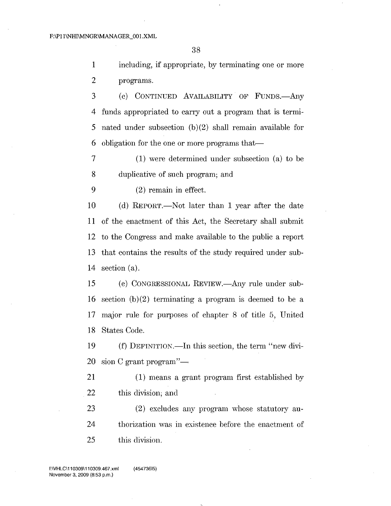including, if appropriate, by terminating one or more programs.

3 (c) CONTINUED AVAILABILITY OF FUNDS. Any funds appropriated to carry out a program that is termi- nated under subsection (b)(2) shall remain available for 6 obligation for the one or more programs that—

 (1) were determined under subsection (a) to be duplicative of such program; and

(2) remain in effect.

 (d) REPORT.-Not later than 1 year after the date of the enactment of this Act, the Secretary shall submit to the Congress and make available to the public a report that contains the results of the study required under sub-section (a).

15 (e) CONGRESSIONAL REVIEW.—Any rule under sub-16 section  $(b)(2)$  terminating a program is deemed to be a major rule for purposes of chapter 8 of title 5, United States Code.

19 (f) DEFINITION.—In this section, the term "new divi-20 sion C grant program" $-$ 

 (1) means a grant program first established by this division; and

 (2) excludes any program whose statutory au- thorization was in existence before the enactment of this division.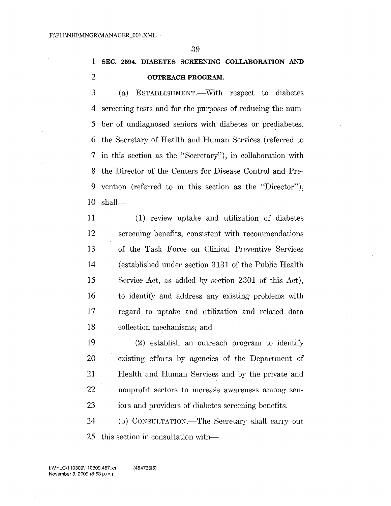# SEC. 2594. DIABETES SCREENING COLLABORATION AND **OUTREACH PROGRAM.**

- 3 (a) ESTABLISHMENT.—With respect to diabetes screening tests and for the purposes of reducing the num-5 ber of undiagnosed seniors with diabetes or prediabetes, the Secretary of Health and Human Services (referred to in this section as the "Secretary"), in collaboration with the Director of the Centers for Disease Control and Pre- vention (referred to in this section as the "Director"), shall-
- 11 (1) review uptake and utilization of diabetes screening benefits, consistent with recommendations of the Task Force on Clinical Preventive Services (established under section 3131 of the Public Health Service Act, as added by section 2301 of this Act), to identify and address any existing problems with regard to uptake and utilization and related data collection mechanisms; and
- (2) establish an outreach program to identify existing efforts by agencies of the Department of Health and Human Services and by the private and nonprofit sectors to increase awareness among sen-iors and providers of diabetes screening benefits.
- 24 (b) CONSULTATION.—The Secretary shall carry out this section in consultation with-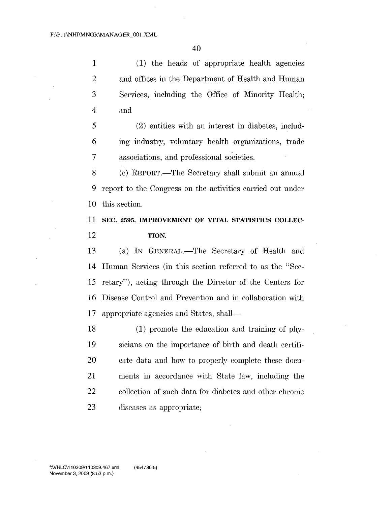1 (1) the heads of appropriate health agencies and offices in the Department of Health and Human Services, including the Office of Minority Health; and

 (2) entities with an interest in diabetes, includ- mg industry, voluntary health organizations, trade associations, and professional societies.

 (c) REPORT.-The Secretary shall submit an annual report to the Congress on the activities carried out under this section.

 SEC. 2595. IMPROVEMENT OF VITAL STATISTICS COLLEC-TION.

13 (a) IN GENERAL.—The Secretary of Health and Human Services (in this section referred to as the "Sec- retary"), acting through the Director of the Centers for Disease Control and Prevention and in collaboration with appropriate agencies and States, shaIl-

 (1) promote the education and training of phy- sicians on the importance of birth and death certifi- cate data and how to properly complete these docu- ments in accordance with State law, including the collection of such data for diabetes and other chronic diseases as appropriate;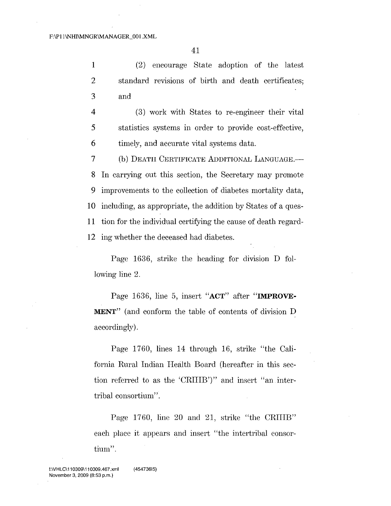41

1 (2) encourage State adoption of the latest 2 standard revisions of birth and death certificates; 3 and

4 (3) work with States to re-engmeer their vital 5 statistics systems in order to provide cost-effective, 6 timely, and accurate vital systems data.

7 (b) DEATH CERTIFICATE ADDITIONAL LANGUAGE.- In carrying out this section, the Secretary may promote improvements to the collection of diabetes mortality data, including, as appropriate, the addition by States of a ques- tion for the individual certifying the cause of death regard-ing whether the deceased had diabetes.

Page 1636, strike the heading for division D following line 2.

Page 1636, line 5, insert "ACT" after "IMPROVE-MENT" (and conform the table of contents of division D accordingly).

Page 1760, lines 14 through 16, strike "the California Rural Indian Health Board (hereafter in this section referred to as the 'CRUIB')" and insert "an intertribal consortium".

Page 1760, line 20 and 21, strike "the CRIHB" each place it appears and insert "the intertribal consortium".